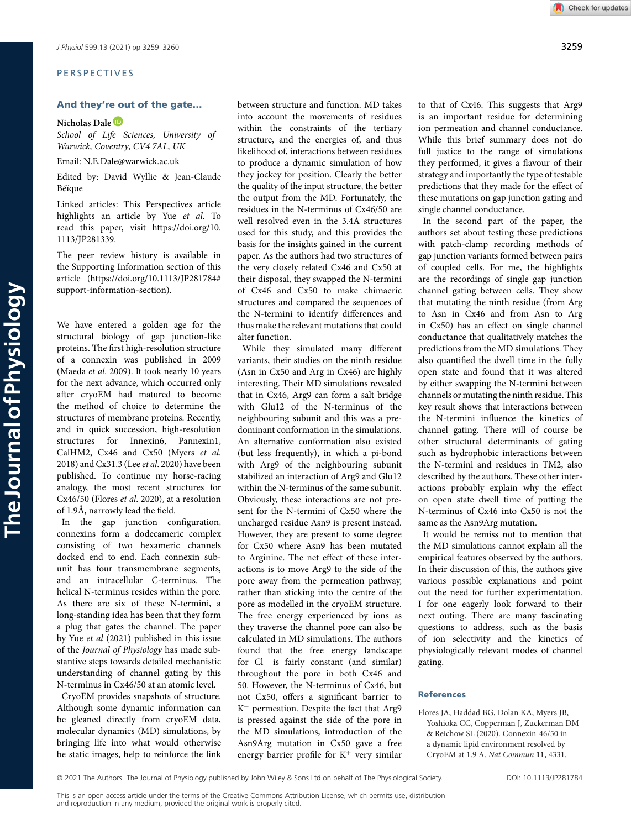# PERSPECTIVES

# **And they're out of the gate…**

# **Nicholas Dale**

*School of Life Sciences, University of Warwick, Coventry, CV4 7AL, UK*

Email: N.E.Dale@warwick.ac.uk

Edited by: David Wyllie & Jean-Claude Béïque

Linked articles: This Perspectives article highlights an article by Yue *et al*. To read this paper, visit [https://doi.org/10.](https://doi.org/10.1113/JP281339) [1113/JP281339.](https://doi.org/10.1113/JP281339)

The peer review history is available in the Supporting Information section of this article [\(https://doi.org/10.1113/JP281784#](https://doi.org/10.1113/JP281784#support-information-section) [support-information-section\)](https://doi.org/10.1113/JP281784#support-information-section).

We have entered a golden age for the structural biology of gap junction-like proteins. The first high-resolution structure of a connexin was published in 2009 (Maeda *et al*. 2009). It took nearly 10 years for the next advance, which occurred only after cryoEM had matured to become the method of choice to determine the structures of membrane proteins. Recently, and in quick succession, high-resolution structures for Innexin6, Pannexin1, CalHM2, Cx46 and Cx50 (Myers *et al*. 2018) and Cx31.3 (Lee *et al*. 2020) have been published. To continue my horse-racing analogy, the most recent structures for Cx46/50 (Flores *et al*. 2020), at a resolution of 1.9Å, narrowly lead the field.

In the gap junction configuration, connexins form a dodecameric complex consisting of two hexameric channels docked end to end. Each connexin subunit has four transmembrane segments, and an intracellular C-terminus. The helical N-terminus resides within the pore. As there are six of these N-termini, a long-standing idea has been that they form a plug that gates the channel. The paper by Yue *et al* (2021) published in this issue of the *Journal of Physiology* has made substantive steps towards detailed mechanistic understanding of channel gating by this N-terminus in Cx46/50 at an atomic level.

CryoEM provides snapshots of structure. Although some dynamic information can be gleaned directly from cryoEM data, molecular dynamics (MD) simulations, by bringing life into what would otherwise be static images, help to reinforce the link between structure and function. MD takes into account the movements of residues within the constraints of the tertiary structure, and the energies of, and thus likelihood of, interactions between residues to produce a dynamic simulation of how they jockey for position. Clearly the better the quality of the input structure, the better the output from the MD. Fortunately, the residues in the N-terminus of Cx46/50 are well resolved even in the 3.4Å structures used for this study, and this provides the basis for the insights gained in the current paper. As the authors had two structures of the very closely related Cx46 and Cx50 at their disposal, they swapped the N-termini of Cx46 and Cx50 to make chimaeric structures and compared the sequences of the N-termini to identify differences and thus make the relevant mutations that could alter function.

While they simulated many different variants, their studies on the ninth residue (Asn in Cx50 and Arg in Cx46) are highly interesting. Their MD simulations revealed that in Cx46, Arg9 can form a salt bridge with Glu12 of the N-terminus of the neighbouring subunit and this was a predominant conformation in the simulations. An alternative conformation also existed (but less frequently), in which a pi-bond with Arg9 of the neighbouring subunit stabilized an interaction of Arg9 and Glu12 within the N-terminus of the same subunit. Obviously, these interactions are not present for the N-termini of Cx50 where the uncharged residue Asn9 is present instead. However, they are present to some degree for Cx50 where Asn9 has been mutated to Arginine. The net effect of these interactions is to move Arg9 to the side of the pore away from the permeation pathway, rather than sticking into the centre of the pore as modelled in the cryoEM structure. The free energy experienced by ions as they traverse the channel pore can also be calculated in MD simulations. The authors found that the free energy landscape for Cl– is fairly constant (and similar) throughout the pore in both Cx46 and 50. However, the N-terminus of Cx46, but not Cx50, offers a significant barrier to  $K^+$  permeation. Despite the fact that Arg9 is pressed against the side of the pore in the MD simulations, introduction of the Asn9Arg mutation in Cx50 gave a free energy barrier profile for K<sup>+</sup> very similar

to that of Cx46. This suggests that Arg9 is an important residue for determining ion permeation and channel conductance. While this brief summary does not do full justice to the range of simulations they performed, it gives a flavour of their strategy and importantly the type of testable predictions that they made for the effect of these mutations on gap junction gating and single channel conductance.

In the second part of the paper, the authors set about testing these predictions with patch-clamp recording methods of gap junction variants formed between pairs of coupled cells. For me, the highlights are the recordings of single gap junction channel gating between cells. They show that mutating the ninth residue (from Arg to Asn in Cx46 and from Asn to Arg in Cx50) has an effect on single channel conductance that qualitatively matches the predictions from the MD simulations. They also quantified the dwell time in the fully open state and found that it was altered by either swapping the N-termini between channels or mutating the ninth residue. This key result shows that interactions between the N-termini influence the kinetics of channel gating. There will of course be other structural determinants of gating such as hydrophobic interactions between the N-termini and residues in TM2, also described by the authors. These other interactions probably explain why the effect on open state dwell time of putting the N-terminus of Cx46 into Cx50 is not the same as the Asn9Arg mutation.

It would be remiss not to mention that the MD simulations cannot explain all the empirical features observed by the authors. In their discussion of this, the authors give various possible explanations and point out the need for further experimentation. I for one eagerly look forward to their next outing. There are many fascinating questions to address, such as the basis of ion selectivity and the kinetics of physiologically relevant modes of channel gating.

## **References**

Flores JA, Haddad BG, Dolan KA, Myers JB, Yoshioka CC, Copperman J, Zuckerman DM & Reichow SL (2020). Connexin-46/50 in a dynamic lipid environment resolved by CryoEM at 1.9 A. *Nat Commun* **11**, 4331.

© 2021 The Authors. The Journal of Physiology published by John Wiley & Sons Ltd on behalf of The Physiological Society. DOI: 10.1113/JP281784